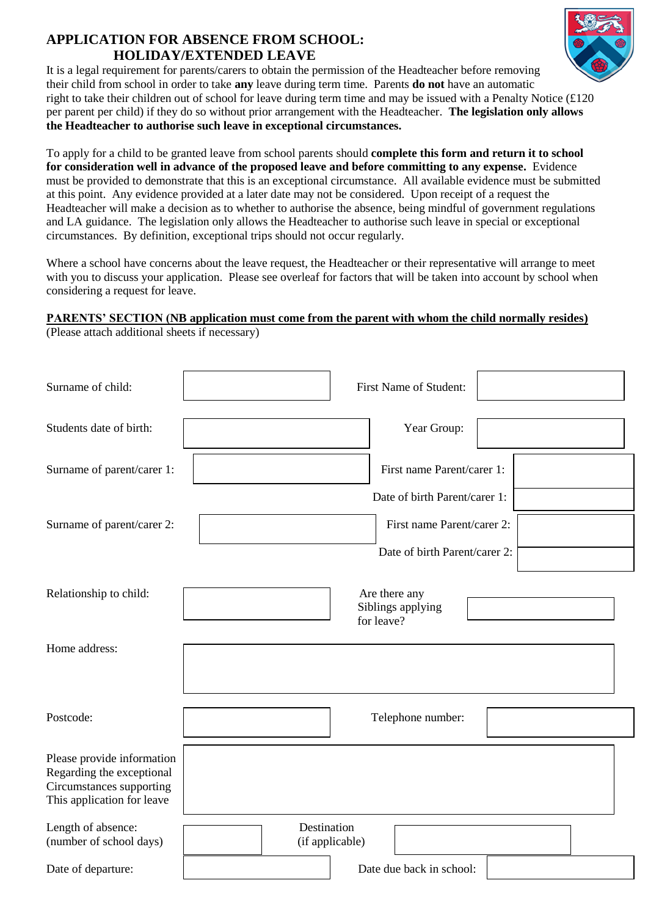## **APPLICATION FOR ABSENCE FROM SCHOOL: HOLIDAY/EXTENDED LEAVE**



It is a legal requirement for parents/carers to obtain the permission of the Headteacher before removing their child from school in order to take **any** leave during term time. Parents **do not** have an automatic right to take their children out of school for leave during term time and may be issued with a Penalty Notice (£120 per parent per child) if they do so without prior arrangement with the Headteacher. **The legislation only allows the Headteacher to authorise such leave in exceptional circumstances.**

To apply for a child to be granted leave from school parents should **complete this form and return it to school for consideration well in advance of the proposed leave and before committing to any expense.** Evidence must be provided to demonstrate that this is an exceptional circumstance. All available evidence must be submitted at this point. Any evidence provided at a later date may not be considered. Upon receipt of a request the Headteacher will make a decision as to whether to authorise the absence, being mindful of government regulations and LA guidance. The legislation only allows the Headteacher to authorise such leave in special or exceptional circumstances. By definition, exceptional trips should not occur regularly.

Where a school have concerns about the leave request, the Headteacher or their representative will arrange to meet with you to discuss your application. Please see overleaf for factors that will be taken into account by school when considering a request for leave.

## **PARENTS' SECTION (NB application must come from the parent with whom the child normally resides)**

| Surname of child:                                                                                                 | First Name of Student:                           |  |  |  |  |  |  |
|-------------------------------------------------------------------------------------------------------------------|--------------------------------------------------|--|--|--|--|--|--|
| Students date of birth:                                                                                           | Year Group:                                      |  |  |  |  |  |  |
| Surname of parent/carer 1:                                                                                        | First name Parent/carer 1:                       |  |  |  |  |  |  |
|                                                                                                                   | Date of birth Parent/carer 1:                    |  |  |  |  |  |  |
| Surname of parent/carer 2:                                                                                        | First name Parent/carer 2:                       |  |  |  |  |  |  |
|                                                                                                                   | Date of birth Parent/carer 2:                    |  |  |  |  |  |  |
| Relationship to child:                                                                                            | Are there any<br>Siblings applying<br>for leave? |  |  |  |  |  |  |
| Home address:                                                                                                     |                                                  |  |  |  |  |  |  |
|                                                                                                                   |                                                  |  |  |  |  |  |  |
| Postcode:                                                                                                         | Telephone number:                                |  |  |  |  |  |  |
| Please provide information<br>Regarding the exceptional<br>Circumstances supporting<br>This application for leave |                                                  |  |  |  |  |  |  |
| Length of absence:<br>(number of school days)                                                                     | Destination<br>(if applicable)                   |  |  |  |  |  |  |
| Date of departure:                                                                                                | Date due back in school:                         |  |  |  |  |  |  |

(Please attach additional sheets if necessary)